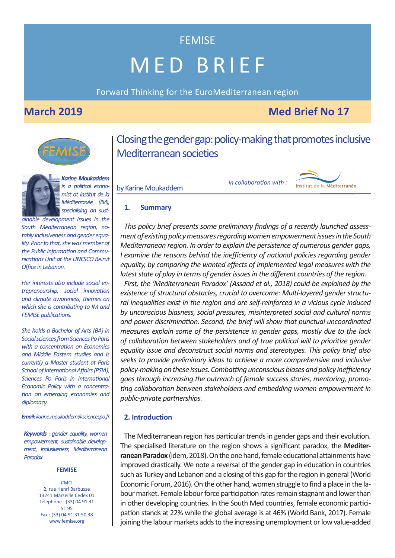Forward Thinking for the EuroMediterranean region

### **March 2019** Med Brief No 17



*is a political economist at Institut de la Méditerranée (IM), specialising on sust-*

*ainable development issues in the South Mediterranean region, notably inclusiveness and gender equality. Prior to that, she was member of the Public Information and Communications Unit at the UNESCO Beirut Office in Lebanon.* 

*Her interests also include social entrepreneurship, social innovation and climate awareness, themes on which she is contributing to IM and FEMISE publications.* 

*She holds a Bachelor of Arts (BA) in Social sciences from Sciences Po Paris with a concentration on Economics and Middle Eastern studies and is currently a Master student at Paris School of International Affairs (PSIA), Sciences Po Paris in International Economic Policy with a concentration on emerging economies and diplomacy.* 

*Email: karine.moukaddem@sciencespo.fr*

*Keywords : gender equality, women empowerment, sustainable development, inclusiveness, Mediterranean Paradox*

#### **FEMISE**

**CMCI** 2, rue Henri Barbusse 13241 Marseille Cedex 01 Téléphone : (33) 04 91 31 51 95 Fax : (33) 04 91 31 50 38 www.femise.org

Closing the gender gap: policy-making that promotes inclusive Mediterranean societies

by Karine Moukaddem

*in collaboration with : Karine Moukaddem*



### **1. Summary**

*This policy brief presents some preliminary findings of a recently launched assessment of existing policy measures regarding women empowerment issues in the South Mediterranean region. In order to explain the persistence of numerous gender gaps, I* examine the reasons behind the inefficiency of national policies regarding gender *equality, by comparing the wanted effects of implemented legal measures with the latest state of play in terms of gender issues in the different countries of the region.* 

*First, the 'Mediterranean Paradox' (Assaad et al., 2018) could be explained by the existence of structural obstacles, crucial to overcome: Multi-layered gender structural inequalities exist in the region and are self-reinforced in a vicious cycle induced by unconscious biasness, social pressures, misinterpreted social and cultural norms and power discrimination. Second, the brief will show that punctual uncoordinated measures explain some of the persistence in gender gaps, mostly due to the lack of collaboration between stakeholders and of true political will to prioritize gender equality issue and deconstruct social norms and stereotypes. This policy brief also seeks to provide preliminary ideas to achieve a more comprehensive and inclusive policy-making on these issues. Combatting unconscious biases and policy inefficiency goes through increasing the outreach of female success stories, mentoring, promoting collaboration between stakeholders and embedding women empowerment in public-private partnerships.*

### **2. Introduction**

The Mediterranean region has particular trends in gender gaps and their evolution. The specialised literature on the region shows a significant paradox, the **Mediterranean Paradox** (idem, 2018). On the one hand, female educational attainments have improved drastically. We note a reversal of the gender gap in education in countries such as Turkey and Lebanon and a closing of this gap for the region in general (World Economic Forum, 2016). On the other hand, women struggle to find a place in the labour market. Female labour force participation rates remain stagnant and lower than in other developing countries. In the South Med countries, female economic participation stands at 22% while the global average is at 46% (World Bank, 2017). Female joining the labour markets adds to the increasing unemployment or low value-added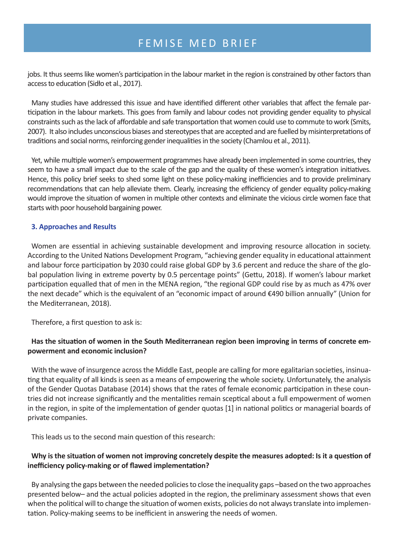jobs. It thus seems like women's participation in the labour market in the region is constrained by other factors than access to education (Sidło et al., 2017).

Many studies have addressed this issue and have identified different other variables that affect the female participation in the labour markets. This goes from family and labour codes not providing gender equality to physical constraints such as the lack of affordable and safe transportation that women could use to commute to work (Smits, 2007). It also includes unconscious biases and stereotypes that are accepted and are fuelled by misinterpretations of traditions and social norms, reinforcing gender inequalities in the society (Chamlou et al., 2011).

Yet, while multiple women's empowerment programmes have already been implemented in some countries, they seem to have a small impact due to the scale of the gap and the quality of these women's integration initiatives. Hence, this policy brief seeks to shed some light on these policy-making inefficiencies and to provide preliminary recommendations that can help alleviate them. Clearly, increasing the efficiency of gender equality policy-making would improve the situation of women in multiple other contexts and eliminate the vicious circle women face that starts with poor household bargaining power.

### **3. Approaches and Results**

Women are essential in achieving sustainable development and improving resource allocation in society. According to the United Nations Development Program, "achieving gender equality in educational attainment and labour force participation by 2030 could raise global GDP by 3.6 percent and reduce the share of the global population living in extreme poverty by 0.5 percentage points" (Gettu, 2018). If women's labour market participation equalled that of men in the MENA region, "the regional GDP could rise by as much as 47% over the next decade" which is the equivalent of an "economic impact of around €490 billion annually" (Union for the Mediterranean, 2018).

Therefore, a first question to ask is:

### **Has the situation of women in the South Mediterranean region been improving in terms of concrete empowerment and economic inclusion?**

With the wave of insurgence across the Middle East, people are calling for more egalitarian societies, insinuating that equality of all kinds is seen as a means of empowering the whole society. Unfortunately, the analysis of the Gender Quotas Database (2014) shows that the rates of female economic participation in these countries did not increase significantly and the mentalities remain sceptical about a full empowerment of women in the region, in spite of the implementation of gender quotas [1] in national politics or managerial boards of private companies.

This leads us to the second main question of this research:

### **Why is the situation of women not improving concretely despite the measures adopted: Is it a question of inefficiency policy-making or of flawed implementation?**

By analysing the gaps between the needed policies to close the inequality gaps –based on the two approaches presented below– and the actual policies adopted in the region, the preliminary assessment shows that even when the political will to change the situation of women exists, policies do not always translate into implementation. Policy-making seems to be inefficient in answering the needs of women.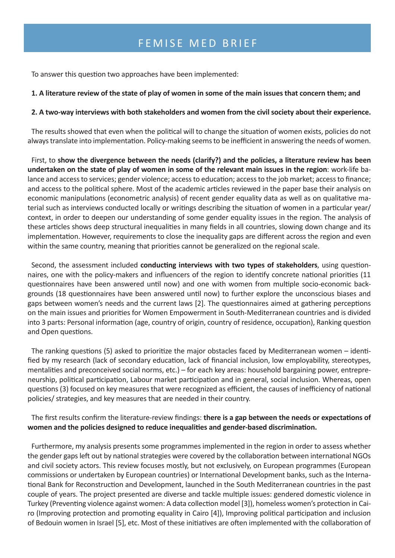To answer this question two approaches have been implemented:

### **1. A literature review of the state of play of women in some of the main issues that concern them; and**

### **2. A two-way interviews with both stakeholders and women from the civil society about their experience.**

The results showed that even when the political will to change the situation of women exists, policies do not always translate into implementation. Policy-making seems to be inefficient in answering the needs of women.

First, to **show the divergence between the needs (clarify?) and the policies, a literature review has been undertaken on the state of play of women in some of the relevant main issues in the region**: work-life balance and access to services; gender violence; access to education; access to the job market; access to finance; and access to the political sphere. Most of the academic articles reviewed in the paper base their analysis on economic manipulations (econometric analysis) of recent gender equality data as well as on qualitative material such as interviews conducted locally or writings describing the situation of women in a particular year/ context, in order to deepen our understanding of some gender equality issues in the region. The analysis of these articles shows deep structural inequalities in many fields in all countries, slowing down change and its implementation. However, requirements to close the inequality gaps are different across the region and even within the same country, meaning that priorities cannot be generalized on the regional scale.

Second, the assessment included **conducting interviews with two types of stakeholders**, using questionnaires, one with the policy-makers and influencers of the region to identify concrete national priorities (11 questionnaires have been answered until now) and one with women from multiple socio-economic backgrounds (18 questionnaires have been answered until now) to further explore the unconscious biases and gaps between women's needs and the current laws [2]. The questionnaires aimed at gathering perceptions on the main issues and priorities for Women Empowerment in South-Mediterranean countries and is divided into 3 parts: Personal information (age, country of origin, country of residence, occupation), Ranking question and Open questions.

The ranking questions (5) asked to prioritize the major obstacles faced by Mediterranean women – identified by my research (lack of secondary education, lack of financial inclusion, low employability, stereotypes, mentalities and preconceived social norms, etc.) – for each key areas: household bargaining power, entrepreneurship, political participation, Labour market participation and in general, social inclusion. Whereas, open questions (3) focused on key measures that were recognized as efficient, the causes of inefficiency of national policies/ strategies, and key measures that are needed in their country.

The first results confirm the literature-review findings: **there is a gap between the needs or expectations of women and the policies designed to reduce inequalities and gender-based discrimination.**

Furthermore, my analysis presents some programmes implemented in the region in order to assess whether the gender gaps left out by national strategies were covered by the collaboration between international NGOs and civil society actors. This review focuses mostly, but not exclusively, on European programmes (European commissions or undertaken by European countries) or International Development banks, such as the International Bank for Reconstruction and Development, launched in the South Mediterranean countries in the past couple of years. The project presented are diverse and tackle multiple issues: gendered domestic violence in Turkey (Preventing violence against women: A data collection model [3]), homeless women's protection in Cairo (Improving protection and promoting equality in Cairo [4]), Improving political participation and inclusion of Bedouin women in Israel [5], etc. Most of these initiatives are often implemented with the collaboration of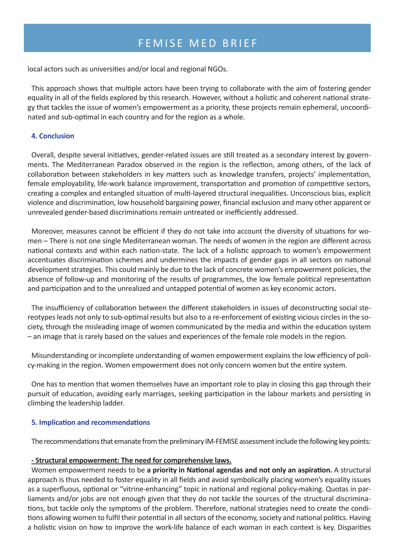local actors such as universities and/or local and regional NGOs.

This approach shows that multiple actors have been trying to collaborate with the aim of fostering gender equality in all of the fields explored by this research. However, without a holistic and coherent national strategy that tackles the issue of women's empowerment as a priority, these projects remain ephemeral, uncoordinated and sub-optimal in each country and for the region as a whole.

### **4. Conclusion**

Overall, despite several initiatives, gender-related issues are still treated as a secondary interest by governments. The Mediterranean Paradox observed in the region is the reflection, among others, of the lack of collaboration between stakeholders in key matters such as knowledge transfers, projects' implementation, female employability, life-work balance improvement, transportation and promotion of competitive sectors, creating a complex and entangled situation of multi-layered structural inequalities. Unconscious bias, explicit violence and discrimination, low household bargaining power, financial exclusion and many other apparent or unrevealed gender-based discriminations remain untreated or inefficiently addressed.

Moreover, measures cannot be efficient if they do not take into account the diversity of situations for women – There is not one single Mediterranean woman. The needs of women in the region are different across national contexts and within each nation-state. The lack of a holistic approach to women's empowerment accentuates discrimination schemes and undermines the impacts of gender gaps in all sectors on national development strategies. This could mainly be due to the lack of concrete women's empowerment policies, the absence of follow-up and monitoring of the results of programmes, the low female political representation and participation and to the unrealized and untapped potential of women as key economic actors.

The insufficiency of collaboration between the different stakeholders in issues of deconstructing social stereotypes leads not only to sub-optimal results but also to a re-enforcement of existing vicious circles in the society, through the misleading image of women communicated by the media and within the education system – an image that is rarely based on the values and experiences of the female role models in the region.

Misunderstanding or incomplete understanding of women empowerment explains the low efficiency of policy-making in the region. Women empowerment does not only concern women but the entire system.

One has to mention that women themselves have an important role to play in closing this gap through their pursuit of education, avoiding early marriages, seeking participation in the labour markets and persisting in climbing the leadership ladder.

### **5. Implication and recommendations**

The recommendations that emanate from the preliminary IM-FEMISE assessment include the following key points:

### **- Structural empowerment: The need for comprehensive laws.**

Women empowerment needs to be **a priority in National agendas and not only an aspiration.** A structural approach is thus needed to foster equality in all fields and avoid symbolically placing women's equality issues as a superfluous, optional or "vitrine-enhancing" topic in national and regional policy-making. Quotas in parliaments and/or jobs are not enough given that they do not tackle the sources of the structural discriminations, but tackle only the symptoms of the problem. Therefore, national strategies need to create the conditions allowing women to fulfil their potential in all sectors of the economy, society and national politics. Having a holistic vision on how to improve the work-life balance of each woman in each context is key. Disparities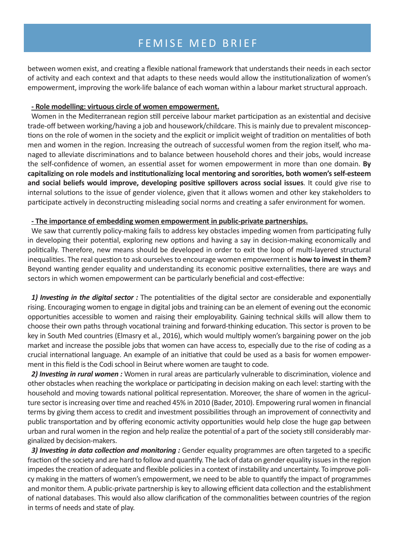between women exist, and creating a flexible national framework that understands their needs in each sector of activity and each context and that adapts to these needs would allow the institutionalization of women's empowerment, improving the work-life balance of each woman within a labour market structural approach.

#### **- Role modelling: virtuous circle of women empowerment.**

Women in the Mediterranean region still perceive labour market participation as an existential and decisive trade-off between working/having a job and housework/childcare. This is mainly due to prevalent misconceptions on the role of women in the society and the explicit or implicit weight of tradition on mentalities of both men and women in the region. Increasing the outreach of successful women from the region itself, who managed to alleviate discriminations and to balance between household chores and their jobs, would increase the self-confidence of women, an essential asset for women empowerment in more than one domain. **By capitalizing on role models and institutionalizing local mentoring and sororities, both women's self-esteem and social beliefs would improve, developing positive spillovers across social issues**. It could give rise to internal solutions to the issue of gender violence, given that it allows women and other key stakeholders to participate actively in deconstructing misleading social norms and creating a safer environment for women.

#### **- The importance of embedding women empowerment in public-private partnerships.**

We saw that currently policy-making fails to address key obstacles impeding women from participating fully in developing their potential, exploring new options and having a say in decision-making economically and politically. Therefore, new means should be developed in order to exit the loop of multi-layered structural inequalities. The real question to ask ourselves to encourage women empowerment is **how to invest in them?** Beyond wanting gender equality and understanding its economic positive externalities, there are ways and sectors in which women empowerment can be particularly beneficial and cost-effective:

*1) Investing in the digital sector :* The potentialities of the digital sector are considerable and exponentially rising. Encouraging women to engage in digital jobs and training can be an element of evening out the economic opportunities accessible to women and raising their employability. Gaining technical skills will allow them to choose their own paths through vocational training and forward-thinking education. This sector is proven to be key in South Med countries (Elmasry et al., 2016), which would multiply women's bargaining power on the job market and increase the possible jobs that women can have access to, especially due to the rise of coding as a crucial international language. An example of an initiative that could be used as a basis for women empowerment in this field is the Codi school in Beirut where women are taught to code.

*2) Investing in rural women :* Women in rural areas are particularly vulnerable to discrimination, violence and other obstacles when reaching the workplace or participating in decision making on each level: starting with the household and moving towards national political representation. Moreover, the share of women in the agriculture sector is increasing over time and reached 45% in 2010 (Bader, 2010). Empowering rural women in financial terms by giving them access to credit and investment possibilities through an improvement of connectivity and public transportation and by offering economic activity opportunities would help close the huge gap between urban and rural women in the region and help realize the potential of a part of the society still considerably marginalized by decision-makers.

3) Investing in data collection and monitoring : Gender equality programmes are often targeted to a specific fraction of the society and are hard to follow and quantify. The lack of data on gender equality issues in the region impedes the creation of adequate and flexible policies in a context of instability and uncertainty. To improve policy making in the matters of women's empowerment, we need to be able to quantify the impact of programmes and monitor them. A public-private partnership is key to allowing efficient data collection and the establishment of national databases. This would also allow clarification of the commonalities between countries of the region in terms of needs and state of play.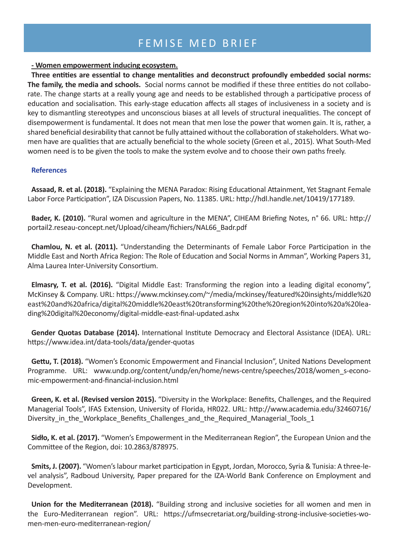#### **- Women empowerment inducing ecosystem.**

**Three entities are essential to change mentalities and deconstruct profoundly embedded social norms: The family, the media and schools.** Social norms cannot be modified if these three entities do not collaborate. The change starts at a really young age and needs to be established through a participative process of education and socialisation. This early-stage education affects all stages of inclusiveness in a society and is key to dismantling stereotypes and unconscious biases at all levels of structural inequalities. The concept of disempowerment is fundamental. It does not mean that men lose the power that women gain. It is, rather, a shared beneficial desirability that cannot be fully attained without the collaboration of stakeholders. What women have are qualities that are actually beneficial to the whole society (Green et al., 2015). What South-Med women need is to be given the tools to make the system evolve and to choose their own paths freely.

### **References**

**Assaad, R. et al. (2018).** "Explaining the MENA Paradox: Rising Educational Attainment, Yet Stagnant Female Labor Force Participation", IZA Discussion Papers, No. 11385. URL: http://hdl.handle.net/10419/177189.

**Bader, K. (2010).** "Rural women and agriculture in the MENA", CIHEAM Briefing Notes, n° 66. URL: http:// portail2.reseau-concept.net/Upload/ciheam/fichiers/NAL66\_Badr.pdf

**Chamlou, N. et al. (2011).** "Understanding the Determinants of Female Labor Force Participation in the Middle East and North Africa Region: The Role of Education and Social Norms in Amman", Working Papers 31, Alma Laurea Inter-University Consortium.

**Elmasry, T. et al. (2016).** "Digital Middle East: Transforming the region into a leading digital economy", McKinsey & Company. URL: https://www.mckinsey.com/~/media/mckinsey/featured%20insights/middle%20 east%20and%20africa/digital%20middle%20east%20transforming%20the%20region%20into%20a%20leading%20digital%20economy/digital-middle-east-final-updated.ashx

**Gender Quotas Database (2014).** International Institute Democracy and Electoral Assistance (IDEA). URL: https://www.idea.int/data-tools/data/gender-quotas

**Gettu, T. (2018).** "Women's Economic Empowerment and Financial Inclusion", United Nations Development Programme. URL: www.undp.org/content/undp/en/home/news-centre/speeches/2018/women s-economic-empowerment-and-financial-inclusion.html

**Green, K. et al. (Revised version 2015).** "Diversity in the Workplace: Benefits, Challenges, and the Required Managerial Tools", IFAS Extension, University of Florida, HR022. URL: http://www.academia.edu/32460716/ Diversity in the Workplace Benefits Challenges and the Required Managerial Tools 1

**Sidło, K. et al. (2017).** "Women's Empowerment in the Mediterranean Region", the European Union and the Committee of the Region, doi: 10.2863/878975.

**Smits, J. (2007).** "Women's labour market participation in Egypt, Jordan, Morocco, Syria & Tunisia: A three-level analysis", Radboud University, Paper prepared for the IZA-World Bank Conference on Employment and Development.

**Union for the Mediterranean (2018).** "Building strong and inclusive societies for all women and men in the Euro-Mediterranean region". URL: https://ufmsecretariat.org/building-strong-inclusive-societies-women-men-euro-mediterranean-region/